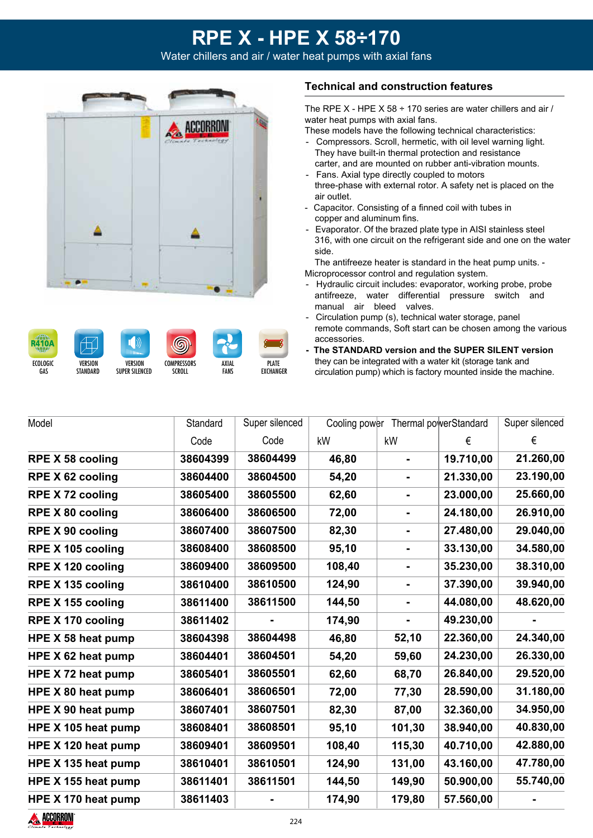Water chillers and air / water heat pumps with axial fans













PLATE **EXCHANGER** 

#### **Technical and construction features**

The RPE X - HPE X 58  $\div$  170 series are water chillers and air / water heat pumps with axial fans.

These models have the following technical characteristics:

- Compressors. Scroll, hermetic, with oil level warning light. They have built-in thermal protection and resistance carter, and are mounted on rubber anti-vibration mounts. - Fans. Axial type directly coupled to motors
- three-phase with external rotor. A safety net is placed on the air outlet.
- Capacitor. Consisting of a finned coil with tubes in copper and aluminum fins.
- Evaporator. Of the brazed plate type in AISI stainless steel 316, with one circuit on the refrigerant side and one on the water side.

The antifreeze heater is standard in the heat pump units. - Microprocessor control and regulation system.

- Hydraulic circuit includes: evaporator, working probe, probe antifreeze, water differential pressure switch and manual air bleed valves.
- Circulation pump (s), technical water storage, panel remote commands, Soft start can be chosen among the various accessories.
- **The STANDARD version and the SUPER SILENT version** they can be integrated with a water kit (storage tank and circulation pump) which is factory mounted inside the machine.

| Model                    | Standard | Super silenced |        | Cooling power Thermal powerStandard |           | Super silenced |
|--------------------------|----------|----------------|--------|-------------------------------------|-----------|----------------|
|                          | Code     | Code           | kW     | kW                                  | €         | €              |
| <b>RPE X 58 cooling</b>  | 38604399 | 38604499       | 46,80  | $\blacksquare$                      | 19.710,00 | 21.260,00      |
| <b>RPE X 62 cooling</b>  | 38604400 | 38604500       | 54,20  |                                     | 21.330,00 | 23.190,00      |
| <b>RPE X 72 cooling</b>  | 38605400 | 38605500       | 62,60  | $\blacksquare$                      | 23.000,00 | 25.660,00      |
| <b>RPE X 80 cooling</b>  | 38606400 | 38606500       | 72,00  | $\blacksquare$                      | 24.180,00 | 26.910,00      |
| <b>RPE X 90 cooling</b>  | 38607400 | 38607500       | 82,30  | $\blacksquare$                      | 27.480,00 | 29.040,00      |
| RPE X 105 cooling        | 38608400 | 38608500       | 95,10  | -                                   | 33.130,00 | 34.580,00      |
| RPE X 120 cooling        | 38609400 | 38609500       | 108,40 |                                     | 35.230,00 | 38.310,00      |
| RPE X 135 cooling        | 38610400 | 38610500       | 124,90 | $\blacksquare$                      | 37.390,00 | 39.940,00      |
| RPE X 155 cooling        | 38611400 | 38611500       | 144,50 | $\blacksquare$                      | 44.080,00 | 48.620,00      |
| <b>RPE X 170 cooling</b> | 38611402 |                | 174,90 |                                     | 49.230,00 |                |
| HPE X 58 heat pump       | 38604398 | 38604498       | 46,80  | 52,10                               | 22.360,00 | 24.340,00      |
| HPE X 62 heat pump       | 38604401 | 38604501       | 54,20  | 59,60                               | 24.230,00 | 26.330,00      |
| HPE X 72 heat pump       | 38605401 | 38605501       | 62,60  | 68,70                               | 26.840,00 | 29.520,00      |
| HPE X 80 heat pump       | 38606401 | 38606501       | 72,00  | 77,30                               | 28.590,00 | 31.180,00      |
| HPE X 90 heat pump       | 38607401 | 38607501       | 82,30  | 87,00                               | 32.360,00 | 34.950,00      |
| HPE X 105 heat pump      | 38608401 | 38608501       | 95,10  | 101,30                              | 38.940,00 | 40.830,00      |
| HPE X 120 heat pump      | 38609401 | 38609501       | 108,40 | 115,30                              | 40.710,00 | 42.880,00      |
| HPE X 135 heat pump      | 38610401 | 38610501       | 124,90 | 131,00                              | 43.160,00 | 47.780,00      |
| HPE X 155 heat pump      | 38611401 | 38611501       | 144,50 | 149,90                              | 50.900,00 | 55.740,00      |
| HPE X 170 heat pump      | 38611403 |                | 174,90 | 179,80                              | 57.560,00 |                |

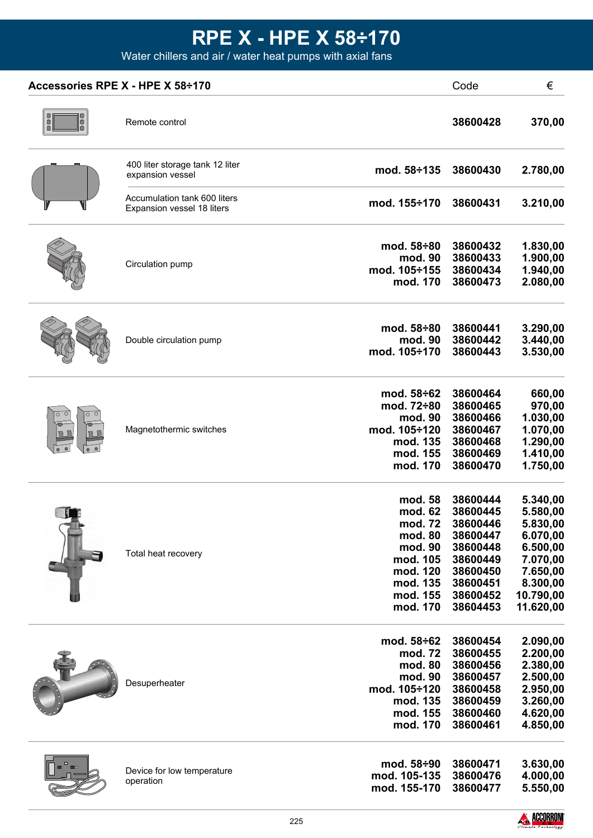Water chillers and air / water heat pumps with axial fans

| Accessories RPE X - HPE X 58÷170 |                                                            |                          | Code                 | €                    |  |
|----------------------------------|------------------------------------------------------------|--------------------------|----------------------|----------------------|--|
| 0<br>0                           | Remote control                                             |                          | 38600428             | 370,00               |  |
|                                  | 400 liter storage tank 12 liter<br>expansion vessel        | mod. $58 \div 135$       | 38600430             | 2.780,00             |  |
|                                  | Accumulation tank 600 liters<br>Expansion vessel 18 liters | mod. 155÷170             | 38600431             | 3.210,00             |  |
|                                  |                                                            | mod. 58÷80               | 38600432             | 1.830,00             |  |
|                                  | Circulation pump                                           | mod. 90                  | 38600433             | 1.900,00             |  |
|                                  |                                                            | mod. 105÷155             | 38600434             | 1.940,00             |  |
|                                  |                                                            | mod. 170                 | 38600473             | 2.080,00             |  |
|                                  |                                                            | mod. $58\div 80$         | 38600441             | 3.290,00             |  |
|                                  | Double circulation pump                                    | mod. 90<br>mod. 105÷170  | 38600442<br>38600443 | 3.440,00<br>3.530,00 |  |
|                                  |                                                            | mod. 58÷62               | 38600464             | 660,00               |  |
|                                  |                                                            | mod. 72÷80               | 38600465             | 970,00               |  |
|                                  |                                                            | mod. 90                  | 38600466             | 1.030,00             |  |
|                                  | Magnetothermic switches                                    | mod. 105÷120             | 38600467             | 1.070,00             |  |
|                                  |                                                            | mod. 135                 | 38600468             | 1.290,00             |  |
|                                  |                                                            | mod. 155                 | 38600469             | 1.410,00             |  |
|                                  |                                                            | mod. 170                 | 38600470             | 1.750,00             |  |
|                                  |                                                            | mod. 58                  | 38600444             | 5.340,00             |  |
|                                  |                                                            | mod. 62                  | 38600445             | 5.580,00             |  |
|                                  |                                                            | mod. 72<br>mod. 80       | 38600446<br>38600447 | 5.830,00<br>6.070,00 |  |
|                                  |                                                            | mod. 90                  | 38600448             | 6.500,00             |  |
|                                  | Total heat recovery                                        | mod. 105                 | 38600449             | 7.070,00             |  |
|                                  |                                                            | mod. 120                 | 38600450             | 7.650,00             |  |
|                                  |                                                            | mod. 135                 | 38600451             | 8.300,00             |  |
|                                  |                                                            | mod. 155                 | 38600452             | 10.790,00            |  |
|                                  |                                                            | mod. 170                 | 38604453             | 11.620,00            |  |
|                                  |                                                            | mod. 58÷62               | 38600454             | 2.090,00             |  |
|                                  |                                                            | mod. 72                  | 38600455             | 2.200,00             |  |
|                                  |                                                            | mod. 80                  | 38600456             | 2.380,00             |  |
|                                  | Desuperheater                                              | mod. 90                  | 38600457             | 2.500,00             |  |
|                                  |                                                            | mod. 105÷120<br>mod. 135 | 38600458<br>38600459 | 2.950,00             |  |
|                                  |                                                            | mod. 155                 | 38600460             | 3.260,00<br>4.620,00 |  |
|                                  |                                                            | mod. 170                 | 38600461             | 4.850,00             |  |
|                                  |                                                            | mod. 58÷90               | 38600471             | 3.630,00             |  |
|                                  | Device for low temperature                                 | mod. 105-135             | 38600476             | 4.000,00             |  |
|                                  | operation                                                  | mod. 155-170             | 38600477             | 5.550,00             |  |

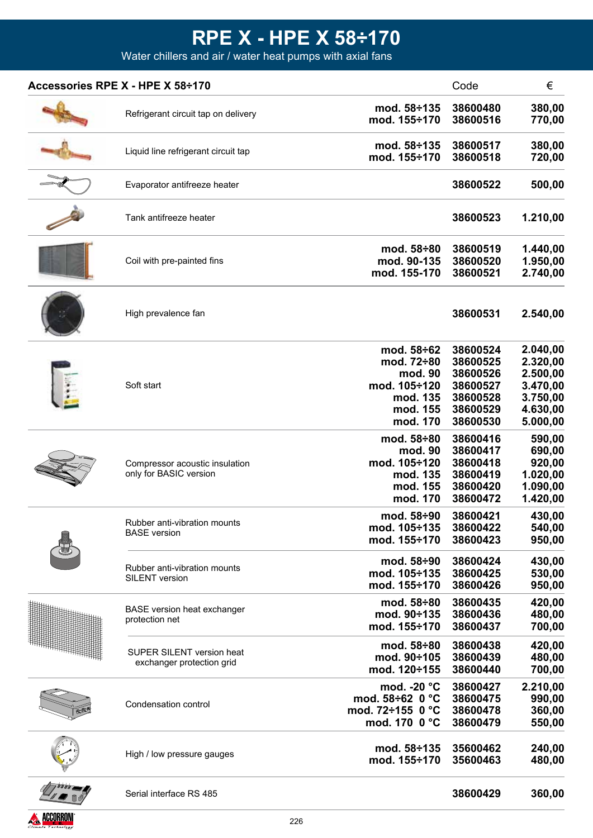Water chillers and air / water heat pumps with axial fans

| Accessories RPE X - HPE X 58÷170                         |                                                                                         | Code                                                                             | €                                                                                |
|----------------------------------------------------------|-----------------------------------------------------------------------------------------|----------------------------------------------------------------------------------|----------------------------------------------------------------------------------|
| Refrigerant circuit tap on delivery                      | mod. 58÷135<br>mod. 155÷170                                                             | 38600480<br>38600516                                                             | 380,00<br>770,00                                                                 |
| Liquid line refrigerant circuit tap                      | mod. 58÷135<br>mod. 155÷170                                                             | 38600517<br>38600518                                                             | 380,00<br>720,00                                                                 |
| Evaporator antifreeze heater                             |                                                                                         | 38600522                                                                         | 500,00                                                                           |
| Tank antifreeze heater                                   |                                                                                         | 38600523                                                                         | 1.210,00                                                                         |
| Coil with pre-painted fins                               | mod. 58÷80<br>mod. 90-135<br>mod. 155-170                                               | 38600519<br>38600520<br>38600521                                                 | 1.440,00<br>1.950,00<br>2.740,00                                                 |
| High prevalence fan                                      |                                                                                         | 38600531                                                                         | 2.540,00                                                                         |
| Soft start                                               | mod. 58÷62<br>mod. 72÷80<br>mod. 90<br>mod. 105÷120<br>mod. 135<br>mod. 155<br>mod. 170 | 38600524<br>38600525<br>38600526<br>38600527<br>38600528<br>38600529<br>38600530 | 2.040,00<br>2.320,00<br>2.500,00<br>3.470,00<br>3.750,00<br>4.630,00<br>5.000,00 |
| Compressor acoustic insulation<br>only for BASIC version | mod. 58÷80<br>mod. 90<br>mod. 105÷120<br>mod. 135<br>mod. 155<br>mod. 170               | 38600416<br>38600417<br>38600418<br>38600419<br>38600420<br>38600472             | 590,00<br>690,00<br>920,00<br>1.020,00<br>1.090,00<br>1.420,00                   |
| Rubber anti-vibration mounts<br><b>BASE</b> version      | mod. 58÷90<br>mod. 105÷135<br>mod. 155÷170                                              | 38600421<br>38600422<br>38600423                                                 | 430,00<br>540,00<br>950,00                                                       |
| Rubber anti-vibration mounts<br><b>SILENT</b> version    | mod. 58÷90<br>mod. 105÷135<br>mod. 155÷170                                              | 38600424<br>38600425<br>38600426                                                 | 430,00<br>530,00<br>950,00                                                       |
| <b>BASE</b> version heat exchanger<br>protection net     | mod. 58÷80<br>mod. 90÷135<br>mod. 155÷170                                               | 38600435<br>38600436<br>38600437                                                 | 420,00<br>480,00<br>700,00                                                       |
| SUPER SILENT version heat<br>exchanger protection grid   | mod. 58÷80<br>mod. 90÷105<br>mod. 120÷155                                               | 38600438<br>38600439<br>38600440                                                 | 420,00<br>480,00<br>700,00                                                       |
| Condensation control                                     | mod. -20 °C<br>mod. $58\div 62$ 0 °C<br>mod. 72÷155 0 °C<br>mod. 170 0 °C               | 38600427<br>38600475<br>38600478<br>38600479                                     | 2.210,00<br>990,00<br>360,00<br>550,00                                           |
| High / low pressure gauges                               | mod. 58÷135<br>mod. 155÷170                                                             | 35600462<br>35600463                                                             | 240,00<br>480,00                                                                 |
| Serial interface RS 485                                  |                                                                                         | 38600429                                                                         | 360,00                                                                           |

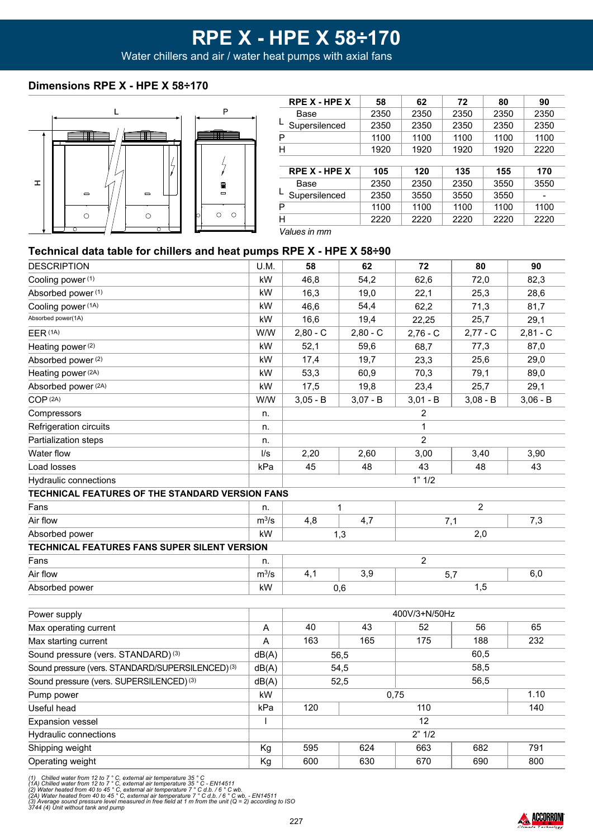Water chillers and air / water heat pumps with axial fans

#### **Dimensions RPE X - HPE X 58÷170**



| <b>RPE X - HPE X</b> | 58   | 62   | 72   | 80   | 90   |
|----------------------|------|------|------|------|------|
| Base                 | 2350 | 2350 | 2350 | 2350 | 2350 |
| Supersilenced        | 2350 | 2350 | 2350 | 2350 | 2350 |
| Р                    | 1100 | 1100 | 1100 | 1100 | 1100 |
| Н                    | 1920 | 1920 | 1920 | 1920 | 2220 |
|                      |      |      |      |      |      |
| <b>RPE X - HPE X</b> | 105  | 120  | 135  | 155  | 170  |
| Base                 | 2350 | 2350 | 2350 | 3550 | 3550 |
| Supersilenced        | 2350 | 3550 | 3550 | 3550 |      |
| Р                    | 1100 | 1100 | 1100 | 1100 | 1100 |
| Н                    | 2220 | 2220 | 2220 | 2220 | 2220 |
| $\cdots$             |      |      |      |      |      |

*Values in mm*

#### **Technical data table for chillers and heat pumps RPE X - HPE X 58÷90**

| <b>DESCRIPTION</b>                                           | U.M.         | 58           | 62         | 72             | 80             | 90         |
|--------------------------------------------------------------|--------------|--------------|------------|----------------|----------------|------------|
| Cooling power (1)                                            | kW           | 46,8         | 54,2       | 62,6           | 72,0           | 82,3       |
| Absorbed power (1)                                           | kW           | 16,3         | 19,0       | 22,1           | 25,3           | 28,6       |
| Cooling power (1A)                                           | kW           | 46,6         | 54,4       | 62,2           | 71,3           | 81,7       |
| Absorbed power(1A)                                           | kW           | 16,6         | 19,4       | 22,25          | 25,7           | 29,1       |
| EER (1A)                                                     | W/W          | $2,80 - C$   | $2,80 - C$ | $2,76 - C$     | $2,77 - C$     | $2,81 - C$ |
| Heating power (2)                                            | kW           | 52,1         | 59,6       | 68,7           | 77,3           | 87,0       |
| Absorbed power (2)                                           | kW           | 17,4         | 19,7       | 23,3           | 25,6           | 29,0       |
| Heating power (2A)                                           | kW           | 53,3         | 60,9       | 70,3           | 79,1           | 89,0       |
| Absorbed power (2A)                                          | kW           | 17,5         | 19,8       | 23,4           | 25,7           | 29,1       |
| COP (2A)                                                     | W/W          | $3,05 - B$   | $3,07 - B$ | $3,01 - B$     | $3,08 - B$     | $3,06 - B$ |
| Compressors                                                  | n.           |              |            | $\overline{2}$ |                |            |
| Refrigeration circuits                                       | n.           |              |            | $\mathbf{1}$   |                |            |
| Partialization steps                                         | n.           |              |            | $\overline{2}$ |                |            |
| Water flow                                                   | $\sqrt{s}$   | 2,20         | 2,60       | 3,00           | 3,40           | 3,90       |
| Load losses                                                  | kPa          | 45           | 48         | 43             | 48             | 43         |
| Hydraulic connections                                        |              |              |            | 1" 1/2         |                |            |
| TECHNICAL FEATURES OF THE STANDARD VERSION FANS              |              |              |            |                |                |            |
| Fans                                                         | n.           |              | 1          |                | $\overline{c}$ |            |
| Air flow                                                     | $m^3/s$      | 4,8          | 4,7        |                | 7,1            | 7,3        |
| Absorbed power                                               | kW           |              | 1,3        | 2,0            |                |            |
| TECHNICAL FEATURES FANS SUPER SILENT VERSION                 |              |              |            |                |                |            |
| Fans                                                         | n.           |              |            | $\overline{2}$ |                |            |
| Air flow                                                     | $m^3/s$      | 4,1          | 3,9        | 6,0<br>5,7     |                |            |
| Absorbed power                                               | kW           |              | 0,6        | 1,5            |                |            |
|                                                              |              |              |            |                |                |            |
| Power supply                                                 |              |              |            | 400V/3+N/50Hz  |                |            |
| Max operating current                                        | A            | 40           | 43         | 52             | 56             | 65         |
| Max starting current                                         | $\mathsf A$  | 163          | 165        | 175            | 188            | 232        |
| Sound pressure (vers. STANDARD) <sup>(3)</sup>               | dB(A)        | 60,5<br>56,5 |            |                |                |            |
| Sound pressure (vers. STANDARD/SUPERSILENCED) <sup>(3)</sup> | dB(A)        | 58,5<br>54,5 |            |                |                |            |
| Sound pressure (vers. SUPERSILENCED) (3)                     | dB(A)        | 52,5         |            |                | 56,5           |            |
| Pump power                                                   | kW           |              |            | 0,75           |                | 1.10       |
| Useful head                                                  | kPa          | 120          |            | 110            |                | 140        |
| <b>Expansion vessel</b>                                      | $\mathsf{l}$ |              |            | 12             |                |            |
| Hydraulic connections                                        |              |              |            | 2" 1/2         |                |            |
| Shipping weight                                              | Kg           | 595          | 624        | 663            | 682            | 791        |
| Operating weight                                             | Kg           | 600          | 630        | 670            | 690            | 800        |
|                                                              |              |              |            |                |                |            |

(1) Chilled water from 12 to 7 ° C, external air temperature 35 ° C<br>(1A) Chilled water from 12 to 7 ° C, external air temperature 35 ° C - EN14511<br>(2) Water heated from 40 to 45 ° C, external air temperature 7 ° C d.b. / 6